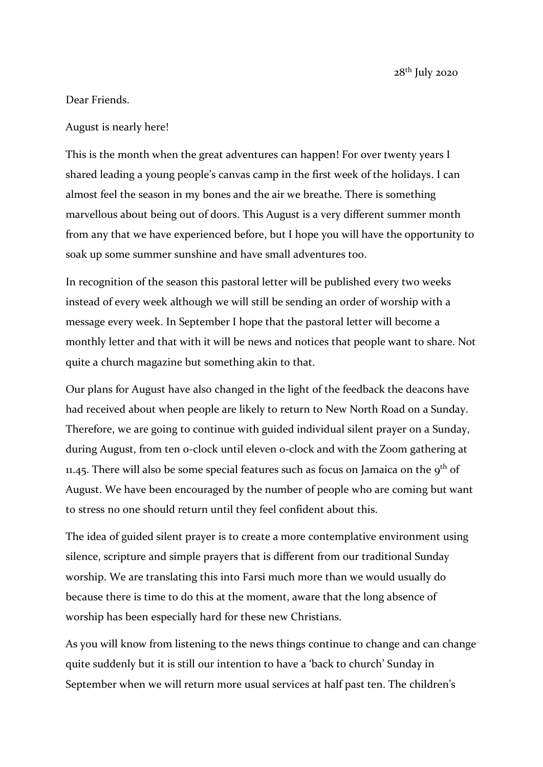## Dear Friends.

August is nearly here!

This is the month when the great adventures can happen! For over twenty years I shared leading a young people's canvas camp in the first week of the holidays. I can almost feel the season in my bones and the air we breathe. There is something marvellous about being out of doors. This August is a very different summer month from any that we have experienced before, but I hope you will have the opportunity to soak up some summer sunshine and have small adventures too.

In recognition of the season this pastoral letter will be published every two weeks instead of every week although we will still be sending an order of worship with a message every week. In September I hope that the pastoral letter will become a monthly letter and that with it will be news and notices that people want to share. Not quite a church magazine but something akin to that.

Our plans for August have also changed in the light of the feedback the deacons have had received about when people are likely to return to New North Road on a Sunday. Therefore, we are going to continue with guided individual silent prayer on a Sunday, during August, from ten o-clock until eleven o-clock and with the Zoom gathering at 11.45. There will also be some special features such as focus on Jamaica on the  $9<sup>th</sup>$  of August. We have been encouraged by the number of people who are coming but want to stress no one should return until they feel confident about this.

The idea of guided silent prayer is to create a more contemplative environment using silence, scripture and simple prayers that is different from our traditional Sunday worship. We are translating this into Farsi much more than we would usually do because there is time to do this at the moment, aware that the long absence of worship has been especially hard for these new Christians.

As you will know from listening to the news things continue to change and can change quite suddenly but it is still our intention to have a 'back to church' Sunday in September when we will return more usual services at half past ten. The children's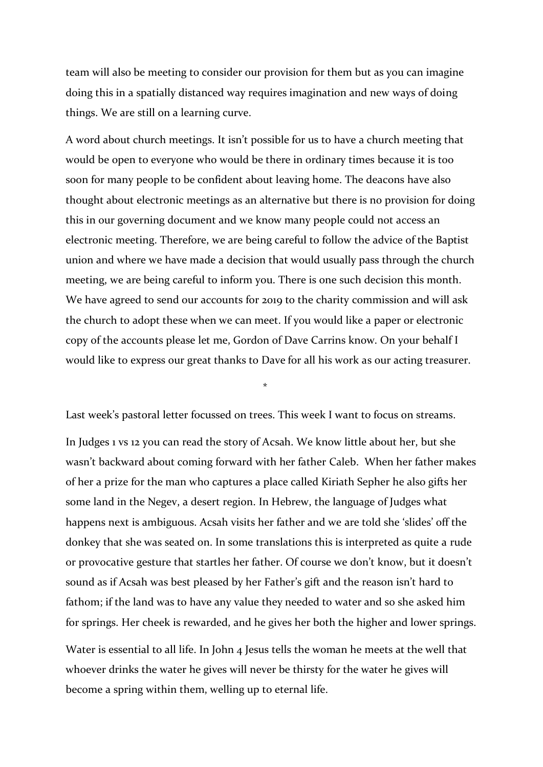team will also be meeting to consider our provision for them but as you can imagine doing this in a spatially distanced way requires imagination and new ways of doing things. We are still on a learning curve.

A word about church meetings. It isn't possible for us to have a church meeting that would be open to everyone who would be there in ordinary times because it is too soon for many people to be confident about leaving home. The deacons have also thought about electronic meetings as an alternative but there is no provision for doing this in our governing document and we know many people could not access an electronic meeting. Therefore, we are being careful to follow the advice of the Baptist union and where we have made a decision that would usually pass through the church meeting, we are being careful to inform you. There is one such decision this month. We have agreed to send our accounts for 2019 to the charity commission and will ask the church to adopt these when we can meet. If you would like a paper or electronic copy of the accounts please let me, Gordon of Dave Carrins know. On your behalf I would like to express our great thanks to Dave for all his work as our acting treasurer.

Last week's pastoral letter focussed on trees. This week I want to focus on streams.

\*

In Judges 1 vs 12 you can read the story of Acsah. We know little about her, but she wasn't backward about coming forward with her father Caleb. When her father makes of her a prize for the man who captures a place called Kiriath Sepher he also gifts her some land in the Negev, a desert region. In Hebrew, the language of Judges what happens next is ambiguous. Acsah visits her father and we are told she 'slides' off the donkey that she was seated on. In some translations this is interpreted as quite a rude or provocative gesture that startles her father. Of course we don't know, but it doesn't sound as if Acsah was best pleased by her Father's gift and the reason isn't hard to fathom; if the land was to have any value they needed to water and so she asked him for springs. Her cheek is rewarded, and he gives her both the higher and lower springs.

Water is essential to all life. In John 4 Jesus tells the woman he meets at the well that whoever drinks the water he gives will never be thirsty for the water he gives will become a spring within them, welling up to eternal life.